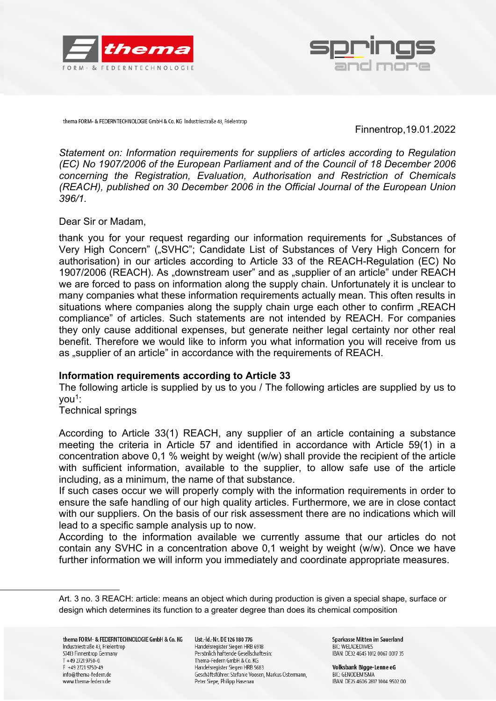



thema FORM- & FEDERNTECHNOLOGIE GmbH & Co. KG Industriestraße 43, Frielentrop

Finnentrop,19.01.2022

*Statement on: Information requirements for suppliers of articles according to Regulation (EC)* No 1907/2006 of the European Parliament and of the Council of 18 December 2006 *concerning the Registration, Evaluation, Authorisation and Restriction of Chemicals (REACH), published on 30 December 2006 in the Official Journal of the European Union 396/1.*

Dear Sir or Madam,

thank you for your request regarding our information requirements for "Substances of Very High Concern" ("SVHC"; Candidate List of Substances of Very High Concern for authorisation) in our articles according to Article 33 of the REACH-Regulation (EC) No 1907/2006 (REACH). As "downstream user" and as "supplier of an article" under REACH we are forced to pass on information along the supply chain. Unfortunately it is unclear to many companies what these information requirements actually mean. This often results in situations where companies along the supply chain urge each other to confirm "REACH compliance" of articles. Such statements are not intended by REACH. For companies they only cause additional expenses, but generate neither legal certainty nor other real benefit. Therefore we would like to inform you what information you will receive from us as "supplier of an article" in accordance with the requirements of REACH.

## **Information requirements according to Article 33**

The following article is supplied by us to you / The following articles are supplied by us to you<sup>1</sup>:

Technical springs

According to Article 33(1) REACH, any supplier of an article containing a substance meeting the criteria in Article 57 and identified in accordance with Article 59(1) in a concentration above 0,1 % weight by weight (w/w) shall provide the recipient of the article with sufficient information, available to the supplier, to allow safe use of the article including, as a minimum, the name of that substance.

If such cases occur we will properly comply with the information requirements in order to ensure the safe handling of our high quality articles. Furthermore, we are in close contact with our suppliers. On the basis of our risk assessment there are no indications which will lead to a specific sample analysis up to now.

According to the information available we currently assume that our articles do not contain any SVHC in a concentration above 0,1 weight by weight (w/w). Once we have further information we will inform you immediately and coordinate appropriate measures.

Ust.-Id.-Nr. DE 126 180 776 Handelsregister Siegen HRB 6918 Persönlich haftende Gesellschafterin: Thema-Federn GmbH & Co. KG Handelsregister Siegen HRB 5683 Geschäftsführer: Stefanie Voosen, Markus Ostermann, Peter Siepe, Philipp Hasenau

Sparkasse Mitten im Sauerland **RIC: WELADEDIMES** IBAN: DE32 4645 1012 0067 0017 35

Volksbank Bigge-Lenne eG **RIC: GENODEM1SMA** IBAN: DE25 4606 2817 1004 9502 00

Art. 3 no. 3 REACH: article: means an object which during production is given a special shape, surface or design which determines its function to a greater degree than does its chemical composition